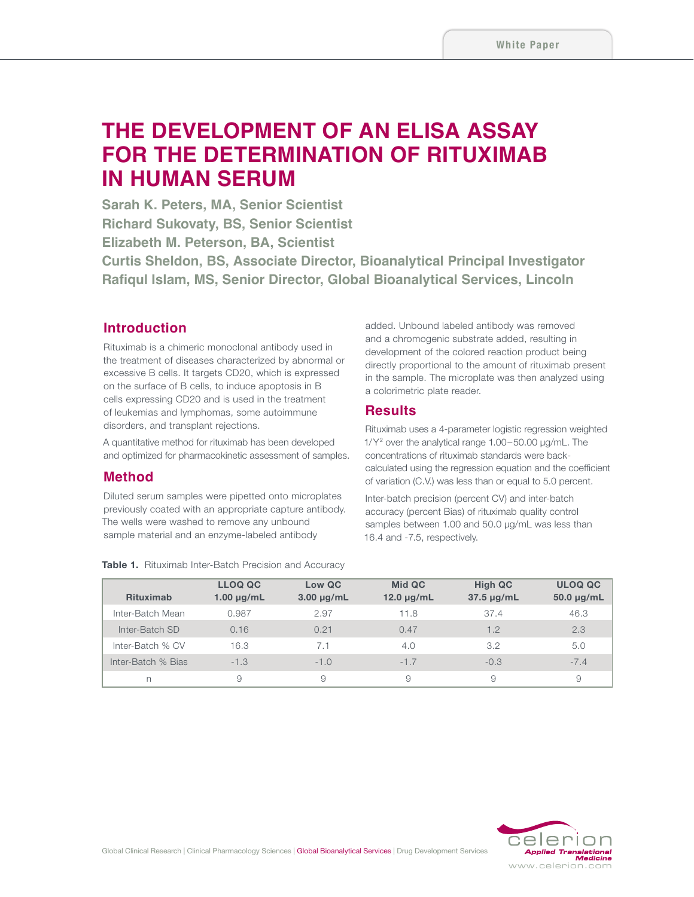# **THE DEVELOPMENT OF AN ELISA ASSAY FOR THE DETERMINATION OF RITUXIMAB IN HUMAN SERUM**

**Sarah K. Peters, MA, Senior Scientist Richard Sukovaty, BS, Senior Scientist Elizabeth M. Peterson, BA, Scientist Curtis Sheldon, BS, Associate Director, Bioanalytical Principal Investigator Rafiqul Islam, MS, Senior Director, Global Bioanalytical Services, Lincoln**

## **Introduction**

Rituximab is a chimeric monoclonal antibody used in the treatment of diseases characterized by abnormal or excessive B cells. It targets CD20, which is expressed on the surface of B cells, to induce apoptosis in B cells expressing CD20 and is used in the treatment of leukemias and lymphomas, some autoimmune disorders, and transplant rejections.

A quantitative method for rituximab has been developed and optimized for pharmacokinetic assessment of samples.

#### **Method**

Diluted serum samples were pipetted onto microplates previously coated with an appropriate capture antibody. The wells were washed to remove any unbound sample material and an enzyme-labeled antibody

added. Unbound labeled antibody was removed and a chromogenic substrate added, resulting in development of the colored reaction product being directly proportional to the amount of rituximab present in the sample. The microplate was then analyzed using a colorimetric plate reader.

#### **Results**

Rituximab uses a 4-parameter logistic regression weighted 1/Y2 over the analytical range 1.00–50.00 µg/mL. The concentrations of rituximab standards were backcalculated using the regression equation and the coefficient of variation (C.V.) was less than or equal to 5.0 percent.

Inter-batch precision (percent CV) and inter-batch accuracy (percent Bias) of rituximab quality control samples between 1.00 and 50.0 µg/mL was less than 16.4 and -7.5, respectively.

| <b>Rituximab</b>   | <b>LLOQ QC</b><br>$1.00 \mu g/mL$ | Low QC<br>$3.00 \mu g/mL$ | Mid QC<br>12.0 $\mu$ g/mL | <b>High QC</b><br>$37.5 \mu g/mL$ | <b>ULOQ QC</b><br>$50.0 \mu g/mL$ |
|--------------------|-----------------------------------|---------------------------|---------------------------|-----------------------------------|-----------------------------------|
| Inter-Batch Mean   | 0.987                             | 2.97                      | 11.8                      | 37.4                              | 46.3                              |
| Inter-Batch SD     | 0.16                              | 0.21                      | 0.47                      | 1.2                               | 2.3                               |
| Inter-Batch % CV   | 16.3                              | 7.1                       | 4.0                       | 3.2                               | 5.0                               |
| Inter-Batch % Bias | $-1.3$                            | $-1.0$                    | $-1.7$                    | $-0.3$                            | $-7.4$                            |
| n                  | 9                                 | 9                         | 9                         | 9                                 | 9                                 |



#### Table 1. Rituximab Inter-Batch Precision and Accuracy